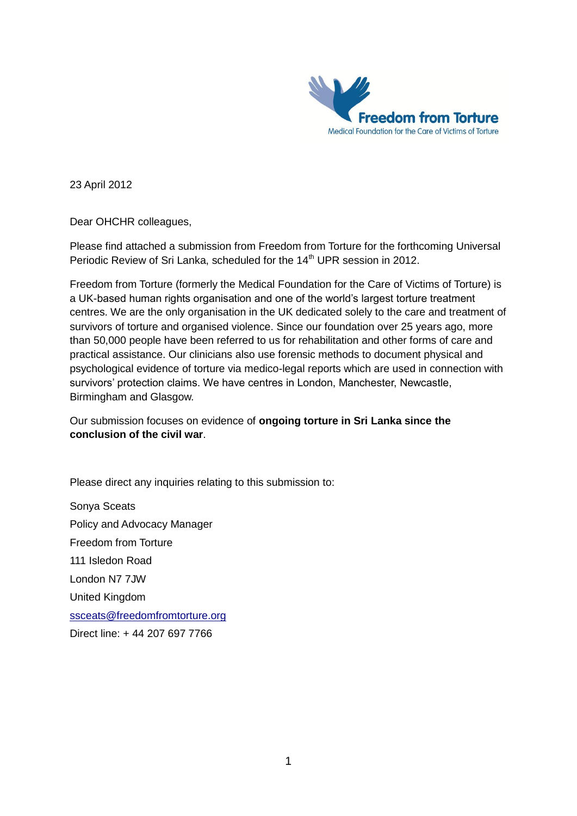

23 April 2012

Dear OHCHR colleagues,

Please find attached a submission from Freedom from Torture for the forthcoming Universal Periodic Review of Sri Lanka, scheduled for the 14<sup>th</sup> UPR session in 2012.

Freedom from Torture (formerly the Medical Foundation for the Care of Victims of Torture) is a UK-based human rights organisation and one of the world's largest torture treatment centres. We are the only organisation in the UK dedicated solely to the care and treatment of survivors of torture and organised violence. Since our foundation over 25 years ago, more than 50,000 people have been referred to us for rehabilitation and other forms of care and practical assistance. Our clinicians also use forensic methods to document physical and psychological evidence of torture via medico-legal reports which are used in connection with survivors' protection claims. We have centres in London, Manchester, Newcastle, Birmingham and Glasgow.

Our submission focuses on evidence of **ongoing torture in Sri Lanka since the conclusion of the civil war**.

Please direct any inquiries relating to this submission to:

Sonya Sceats Policy and Advocacy Manager Freedom from Torture 111 Isledon Road London N7 7JW United Kingdom [ssceats@freedomfromtorture.org](mailto:ssceats@freedomfromtorture.org) Direct line: + 44 207 697 7766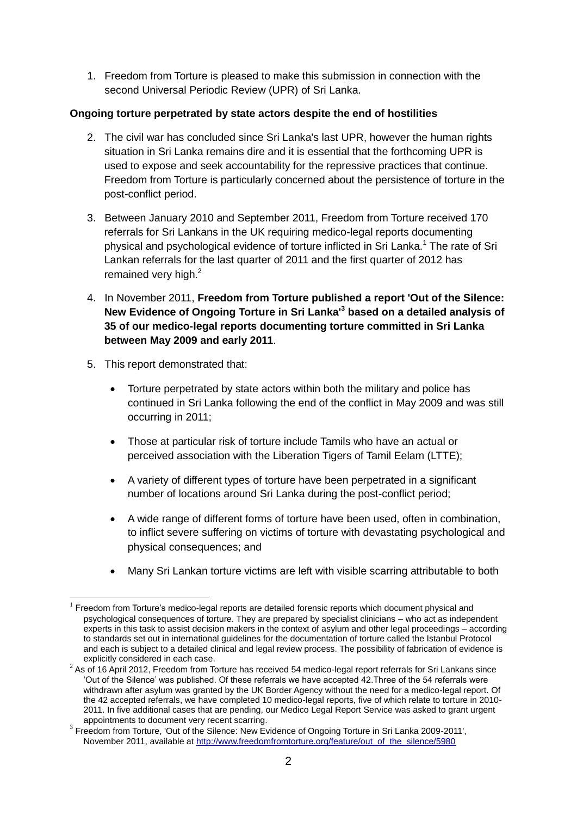1. Freedom from Torture is pleased to make this submission in connection with the second Universal Periodic Review (UPR) of Sri Lanka.

# **Ongoing torture perpetrated by state actors despite the end of hostilities**

- 2. The civil war has concluded since Sri Lanka's last UPR, however the human rights situation in Sri Lanka remains dire and it is essential that the forthcoming UPR is used to expose and seek accountability for the repressive practices that continue. Freedom from Torture is particularly concerned about the persistence of torture in the post-conflict period.
- 3. Between January 2010 and September 2011, Freedom from Torture received 170 referrals for Sri Lankans in the UK requiring medico-legal reports documenting physical and psychological evidence of torture inflicted in Sri Lanka.<sup>1</sup> The rate of Sri Lankan referrals for the last quarter of 2011 and the first quarter of 2012 has remained very high.<sup>2</sup>
- 4. In November 2011, **Freedom from Torture published a report 'Out of the Silence: New Evidence of Ongoing Torture in Sri Lanka'<sup>3</sup> based on a detailed analysis of 35 of our medico-legal reports documenting torture committed in Sri Lanka between May 2009 and early 2011**.
- 5. This report demonstrated that:

1

- Torture perpetrated by state actors within both the military and police has continued in Sri Lanka following the end of the conflict in May 2009 and was still occurring in 2011;
- Those at particular risk of torture include Tamils who have an actual or perceived association with the Liberation Tigers of Tamil Eelam (LTTE);
- A variety of different types of torture have been perpetrated in a significant number of locations around Sri Lanka during the post-conflict period;
- A wide range of different forms of torture have been used, often in combination, to inflict severe suffering on victims of torture with devastating psychological and physical consequences; and
- Many Sri Lankan torture victims are left with visible scarring attributable to both

<sup>1</sup> Freedom from Torture's medico-legal reports are detailed forensic reports which document physical and psychological consequences of torture. They are prepared by specialist clinicians – who act as independent experts in this task to assist decision makers in the context of asylum and other legal proceedings – according to standards set out in international guidelines for the documentation of torture called the Istanbul Protocol and each is subject to a detailed clinical and legal review process. The possibility of fabrication of evidence is explicitly considered in each case.

 $2$  As of 16 April 2012, Freedom from Torture has received 54 medico-legal report referrals for Sri Lankans since 'Out of the Silence' was published. Of these referrals we have accepted 42.Three of the 54 referrals were withdrawn after asylum was granted by the UK Border Agency without the need for a medico-legal report. Of the 42 accepted referrals, we have completed 10 medico-legal reports, five of which relate to torture in 2010- 2011. In five additional cases that are pending, our Medico Legal Report Service was asked to grant urgent appointments to document very recent scarring.

<sup>&</sup>lt;sup>3</sup> Freedom from Torture, 'Out of the Silence: New Evidence of Ongoing Torture in Sri Lanka 2009-2011', November 2011, available a[t http://www.freedomfromtorture.org/feature/out\\_of\\_the\\_silence/5980](http://www.freedomfromtorture.org/feature/out_of_the_silence/5980)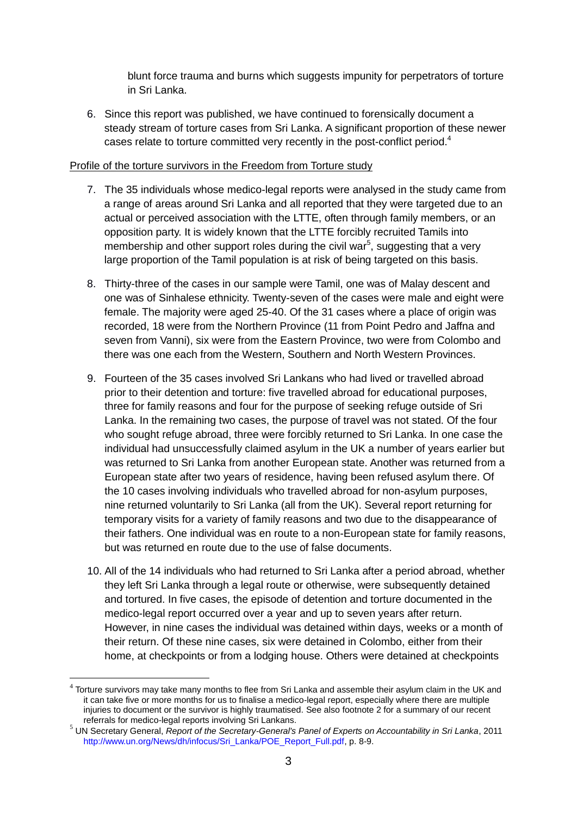blunt force trauma and burns which suggests impunity for perpetrators of torture in Sri Lanka.

6. Since this report was published, we have continued to forensically document a steady stream of torture cases from Sri Lanka. A significant proportion of these newer cases relate to torture committed very recently in the post-conflict period.<sup>4</sup>

### Profile of the torture survivors in the Freedom from Torture study

- 7. The 35 individuals whose medico-legal reports were analysed in the study came from a range of areas around Sri Lanka and all reported that they were targeted due to an actual or perceived association with the LTTE, often through family members, or an opposition party. It is widely known that the LTTE forcibly recruited Tamils into membership and other support roles during the civil war<sup>5</sup>, suggesting that a very large proportion of the Tamil population is at risk of being targeted on this basis.
- 8. Thirty-three of the cases in our sample were Tamil, one was of Malay descent and one was of Sinhalese ethnicity. Twenty-seven of the cases were male and eight were female. The majority were aged 25-40. Of the 31 cases where a place of origin was recorded, 18 were from the Northern Province (11 from Point Pedro and Jaffna and seven from Vanni), six were from the Eastern Province, two were from Colombo and there was one each from the Western, Southern and North Western Provinces.
- 9. Fourteen of the 35 cases involved Sri Lankans who had lived or travelled abroad prior to their detention and torture: five travelled abroad for educational purposes, three for family reasons and four for the purpose of seeking refuge outside of Sri Lanka. In the remaining two cases, the purpose of travel was not stated. Of the four who sought refuge abroad, three were forcibly returned to Sri Lanka. In one case the individual had unsuccessfully claimed asylum in the UK a number of years earlier but was returned to Sri Lanka from another European state. Another was returned from a European state after two years of residence, having been refused asylum there. Of the 10 cases involving individuals who travelled abroad for non-asylum purposes, nine returned voluntarily to Sri Lanka (all from the UK). Several report returning for temporary visits for a variety of family reasons and two due to the disappearance of their fathers. One individual was en route to a non-European state for family reasons, but was returned en route due to the use of false documents.
- 10. All of the 14 individuals who had returned to Sri Lanka after a period abroad, whether they left Sri Lanka through a legal route or otherwise, were subsequently detained and tortured. In five cases, the episode of detention and torture documented in the medico-legal report occurred over a year and up to seven years after return. However, in nine cases the individual was detained within days, weeks or a month of their return. Of these nine cases, six were detained in Colombo, either from their home, at checkpoints or from a lodging house. Others were detained at checkpoints

1

 $<sup>4</sup>$  Torture survivors may take many months to flee from Sri Lanka and assemble their asylum claim in the UK and</sup> it can take five or more months for us to finalise a medico-legal report, especially where there are multiple injuries to document or the survivor is highly traumatised. See also footnote 2 for a summary of our recent referrals for medico-legal reports involving Sri Lankans.

<sup>5</sup> UN Secretary General, *Report of the Secretary-General's Panel of Experts on Accountability in Sri Lanka*, 2011 http://www.un.org/News/dh/infocus/Sri\_Lanka/POE\_Report\_Full.pdf, p. 8-9.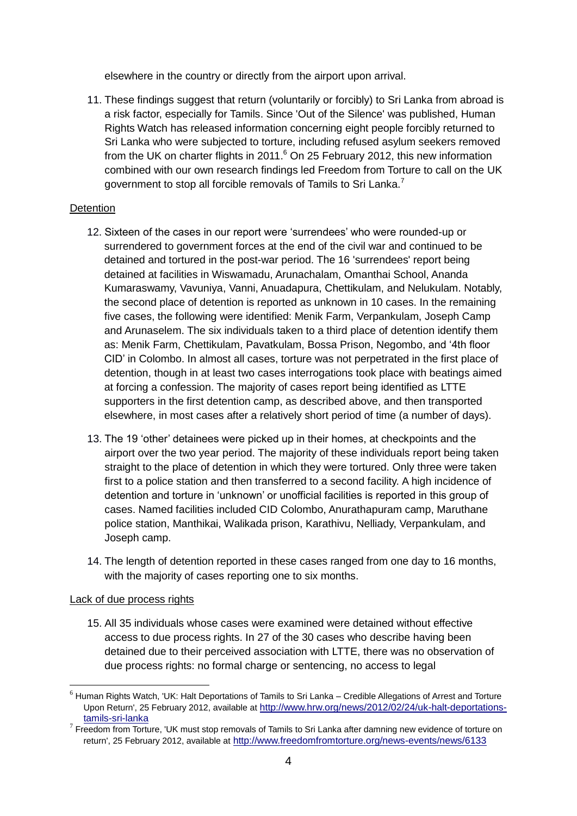elsewhere in the country or directly from the airport upon arrival.

11. These findings suggest that return (voluntarily or forcibly) to Sri Lanka from abroad is a risk factor, especially for Tamils. Since 'Out of the Silence' was published, Human Rights Watch has released information concerning eight people forcibly returned to Sri Lanka who were subjected to torture, including refused asylum seekers removed from the UK on charter flights in 2011.<sup>6</sup> On 25 February 2012, this new information combined with our own research findings led Freedom from Torture to call on the UK government to stop all forcible removals of Tamils to Sri Lanka.<sup>7</sup>

### **Detention**

- 12. Sixteen of the cases in our report were 'surrendees' who were rounded-up or surrendered to government forces at the end of the civil war and continued to be detained and tortured in the post-war period. The 16 'surrendees' report being detained at facilities in Wiswamadu, Arunachalam, Omanthai School, Ananda Kumaraswamy, Vavuniya, Vanni, Anuadapura, Chettikulam, and Nelukulam. Notably, the second place of detention is reported as unknown in 10 cases. In the remaining five cases, the following were identified: Menik Farm, Verpankulam, Joseph Camp and Arunaselem. The six individuals taken to a third place of detention identify them as: Menik Farm, Chettikulam, Pavatkulam, Bossa Prison, Negombo, and '4th floor CID' in Colombo. In almost all cases, torture was not perpetrated in the first place of detention, though in at least two cases interrogations took place with beatings aimed at forcing a confession. The majority of cases report being identified as LTTE supporters in the first detention camp, as described above, and then transported elsewhere, in most cases after a relatively short period of time (a number of days).
- 13. The 19 'other' detainees were picked up in their homes, at checkpoints and the airport over the two year period. The majority of these individuals report being taken straight to the place of detention in which they were tortured. Only three were taken first to a police station and then transferred to a second facility. A high incidence of detention and torture in 'unknown' or unofficial facilities is reported in this group of cases. Named facilities included CID Colombo, Anurathapuram camp, Maruthane police station, Manthikai, Walikada prison, Karathivu, Nelliady, Verpankulam, and Joseph camp.
- 14. The length of detention reported in these cases ranged from one day to 16 months, with the majority of cases reporting one to six months.

#### Lack of due process rights

<u>.</u>

15. All 35 individuals whose cases were examined were detained without effective access to due process rights. In 27 of the 30 cases who describe having been detained due to their perceived association with LTTE, there was no observation of due process rights: no formal charge or sentencing, no access to legal

 $6$  Human Rights Watch, 'UK: Halt Deportations of Tamils to Sri Lanka – Credible Allegations of Arrest and Torture Upon Return', 25 February 2012, available at [http://www.hrw.org/news/2012/02/24/uk-halt-deportations](http://www.hrw.org/news/2012/02/24/uk-halt-deportations-tamils-sri-lanka)[tamils-sri-lanka](http://www.hrw.org/news/2012/02/24/uk-halt-deportations-tamils-sri-lanka)

 $7$  Freedom from Torture, 'UK must stop removals of Tamils to Sri Lanka after damning new evidence of torture on return', 25 February 2012, available at <http://www.freedomfromtorture.org/news-events/news/6133>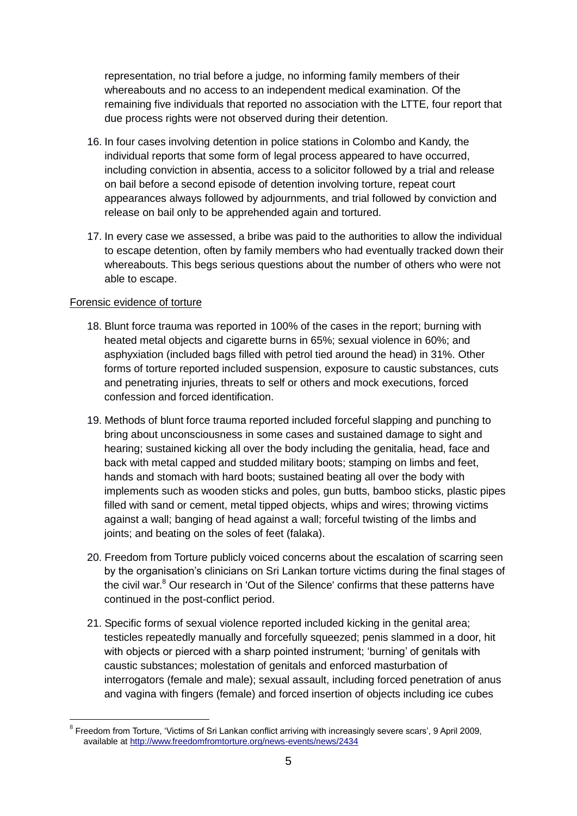representation, no trial before a judge, no informing family members of their whereabouts and no access to an independent medical examination. Of the remaining five individuals that reported no association with the LTTE, four report that due process rights were not observed during their detention.

- 16. In four cases involving detention in police stations in Colombo and Kandy, the individual reports that some form of legal process appeared to have occurred, including conviction in absentia, access to a solicitor followed by a trial and release on bail before a second episode of detention involving torture, repeat court appearances always followed by adjournments, and trial followed by conviction and release on bail only to be apprehended again and tortured.
- 17. In every case we assessed, a bribe was paid to the authorities to allow the individual to escape detention, often by family members who had eventually tracked down their whereabouts. This begs serious questions about the number of others who were not able to escape.

### Forensic evidence of torture

- 18. Blunt force trauma was reported in 100% of the cases in the report; burning with heated metal objects and cigarette burns in 65%; sexual violence in 60%; and asphyxiation (included bags filled with petrol tied around the head) in 31%. Other forms of torture reported included suspension, exposure to caustic substances, cuts and penetrating injuries, threats to self or others and mock executions, forced confession and forced identification.
- 19. Methods of blunt force trauma reported included forceful slapping and punching to bring about unconsciousness in some cases and sustained damage to sight and hearing; sustained kicking all over the body including the genitalia, head, face and back with metal capped and studded military boots; stamping on limbs and feet, hands and stomach with hard boots; sustained beating all over the body with implements such as wooden sticks and poles, gun butts, bamboo sticks, plastic pipes filled with sand or cement, metal tipped objects, whips and wires; throwing victims against a wall; banging of head against a wall; forceful twisting of the limbs and joints; and beating on the soles of feet (falaka).
- 20. Freedom from Torture publicly voiced concerns about the escalation of scarring seen by the organisation's clinicians on Sri Lankan torture victims during the final stages of the civil war.<sup>8</sup> Our research in 'Out of the Silence' confirms that these patterns have continued in the post-conflict period.
- 21. Specific forms of sexual violence reported included kicking in the genital area; testicles repeatedly manually and forcefully squeezed; penis slammed in a door, hit with objects or pierced with a sharp pointed instrument; 'burning' of genitals with caustic substances; molestation of genitals and enforced masturbation of interrogators (female and male); sexual assault, including forced penetration of anus and vagina with fingers (female) and forced insertion of objects including ice cubes

<sup>&</sup>lt;u>.</u>  $8$  Freedom from Torture, 'Victims of Sri Lankan conflict arriving with increasingly severe scars', 9 April 2009, available at<http://www.freedomfromtorture.org/news-events/news/2434>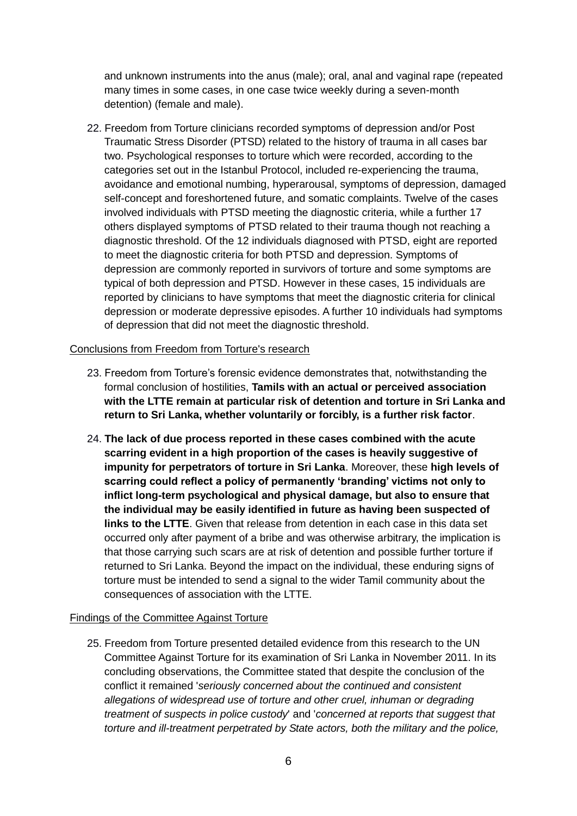and unknown instruments into the anus (male); oral, anal and vaginal rape (repeated many times in some cases, in one case twice weekly during a seven-month detention) (female and male).

22. Freedom from Torture clinicians recorded symptoms of depression and/or Post Traumatic Stress Disorder (PTSD) related to the history of trauma in all cases bar two. Psychological responses to torture which were recorded, according to the categories set out in the Istanbul Protocol, included re-experiencing the trauma, avoidance and emotional numbing, hyperarousal, symptoms of depression, damaged self-concept and foreshortened future, and somatic complaints. Twelve of the cases involved individuals with PTSD meeting the diagnostic criteria, while a further 17 others displayed symptoms of PTSD related to their trauma though not reaching a diagnostic threshold. Of the 12 individuals diagnosed with PTSD, eight are reported to meet the diagnostic criteria for both PTSD and depression. Symptoms of depression are commonly reported in survivors of torture and some symptoms are typical of both depression and PTSD. However in these cases, 15 individuals are reported by clinicians to have symptoms that meet the diagnostic criteria for clinical depression or moderate depressive episodes. A further 10 individuals had symptoms of depression that did not meet the diagnostic threshold.

#### Conclusions from Freedom from Torture's research

- 23. Freedom from Torture's forensic evidence demonstrates that, notwithstanding the formal conclusion of hostilities, **Tamils with an actual or perceived association with the LTTE remain at particular risk of detention and torture in Sri Lanka and return to Sri Lanka, whether voluntarily or forcibly, is a further risk factor**.
- 24. **The lack of due process reported in these cases combined with the acute scarring evident in a high proportion of the cases is heavily suggestive of impunity for perpetrators of torture in Sri Lanka**. Moreover, these **high levels of scarring could reflect a policy of permanently 'branding' victims not only to inflict long-term psychological and physical damage, but also to ensure that the individual may be easily identified in future as having been suspected of links to the LTTE**. Given that release from detention in each case in this data set occurred only after payment of a bribe and was otherwise arbitrary, the implication is that those carrying such scars are at risk of detention and possible further torture if returned to Sri Lanka. Beyond the impact on the individual, these enduring signs of torture must be intended to send a signal to the wider Tamil community about the consequences of association with the LTTE.

### Findings of the Committee Against Torture

25. Freedom from Torture presented detailed evidence from this research to the UN Committee Against Torture for its examination of Sri Lanka in November 2011. In its concluding observations, the Committee stated that despite the conclusion of the conflict it remained '*seriously concerned about the continued and consistent allegations of widespread use of torture and other cruel, inhuman or degrading treatment of suspects in police custody*' and '*concerned at reports that suggest that torture and ill-treatment perpetrated by State actors, both the military and the police,*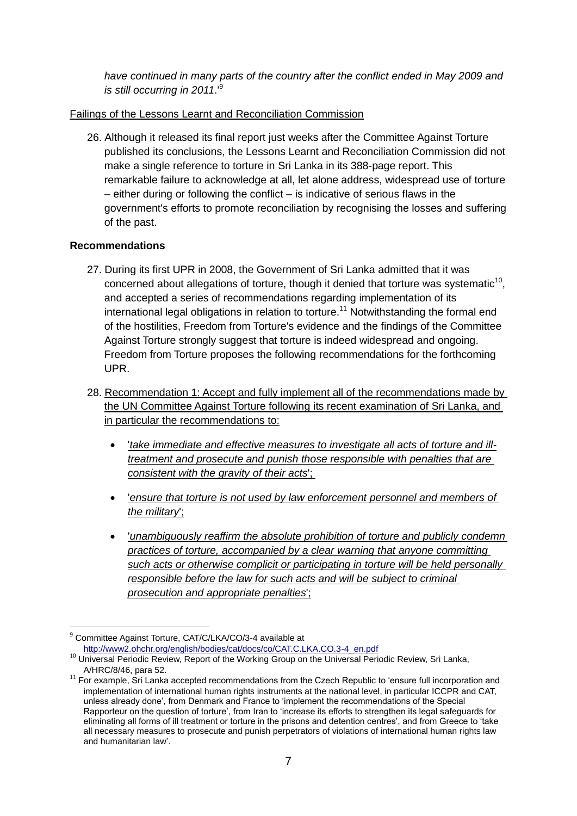*have continued in many parts of the country after the conflict ended in May 2009 and is still occurring in 2011*.'<sup>9</sup>

# Failings of the Lessons Learnt and Reconciliation Commission

26. Although it released its final report just weeks after the Committee Against Torture published its conclusions, the Lessons Learnt and Reconciliation Commission did not make a single reference to torture in Sri Lanka in its 388-page report. This remarkable failure to acknowledge at all, let alone address, widespread use of torture – either during or following the conflict – is indicative of serious flaws in the government's efforts to promote reconciliation by recognising the losses and suffering of the past.

### **Recommendations**

- 27. During its first UPR in 2008, the Government of Sri Lanka admitted that it was concerned about allegations of torture, though it denied that torture was systematic $10$ , and accepted a series of recommendations regarding implementation of its international legal obligations in relation to torture.<sup>11</sup> Notwithstanding the formal end of the hostilities, Freedom from Torture's evidence and the findings of the Committee Against Torture strongly suggest that torture is indeed widespread and ongoing. Freedom from Torture proposes the following recommendations for the forthcoming UPR.
- 28. Recommendation 1: Accept and fully implement all of the recommendations made by the UN Committee Against Torture following its recent examination of Sri Lanka, and in particular the recommendations to:
	- '*take immediate and effective measures to investigate all acts of torture and illtreatment and prosecute and punish those responsible with penalties that are consistent with the gravity of their acts*';
	- '*ensure that torture is not used by law enforcement personnel and members of the military*';
	- '*unambiguously reaffirm the absolute prohibition of torture and publicly condemn practices of torture, accompanied by a clear warning that anyone committing such acts or otherwise complicit or participating in torture will be held personally responsible before the law for such acts and will be subject to criminal prosecution and appropriate penalties*';

1

 $9$  Committee Against Torture, CAT/C/LKA/CO/3-4 available at

[http://www2.ohchr.org/english/bodies/cat/docs/co/CAT.C.LKA.CO.3-4\\_en.pdf](http://www2.ohchr.org/english/bodies/cat/docs/co/CAT.C.LKA.CO.3-4_en.pdf) 

<sup>&</sup>lt;sup>10</sup> Universal Periodic Review, Report of the Working Group on the Universal Periodic Review, Sri Lanka, A/HRC/8/46, para 52.

 $11$  For example. Sri Lanka accepted recommendations from the Czech Republic to 'ensure full incorporation and implementation of international human rights instruments at the national level, in particular ICCPR and CAT, unless already done', from Denmark and France to 'implement the recommendations of the Special Rapporteur on the question of torture', from Iran to 'increase its efforts to strengthen its legal safeguards for eliminating all forms of ill treatment or torture in the prisons and detention centres', and from Greece to 'take all necessary measures to prosecute and punish perpetrators of violations of international human rights law and humanitarian law'.